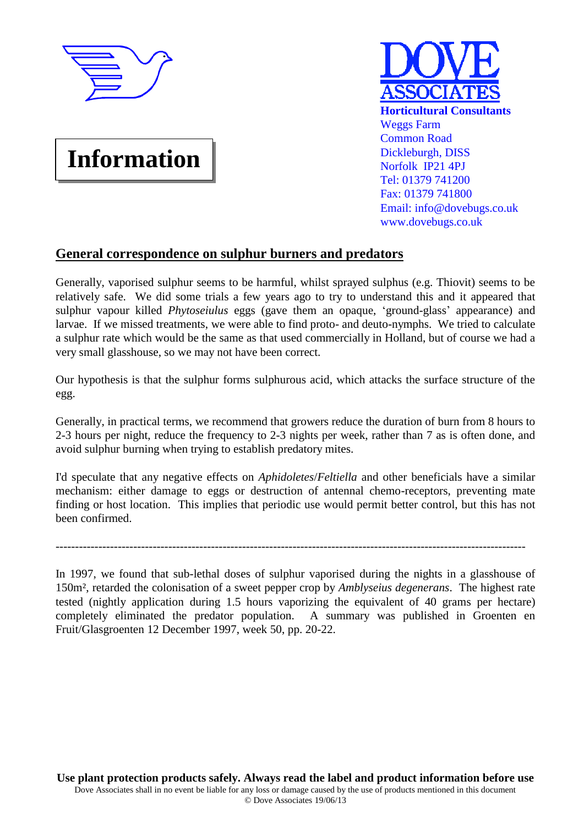

## **Information**



## **General correspondence on sulphur burners and predators**

Generally, vaporised sulphur seems to be harmful, whilst sprayed sulphus (e.g. Thiovit) seems to be relatively safe. We did some trials a few years ago to try to understand this and it appeared that sulphur vapour killed *Phytoseiulus* eggs (gave them an opaque, 'ground-glass' appearance) and larvae. If we missed treatments, we were able to find proto- and deuto-nymphs. We tried to calculate a sulphur rate which would be the same as that used commercially in Holland, but of course we had a very small glasshouse, so we may not have been correct.

Our hypothesis is that the sulphur forms sulphurous acid, which attacks the surface structure of the egg.

Generally, in practical terms, we recommend that growers reduce the duration of burn from 8 hours to 2-3 hours per night, reduce the frequency to 2-3 nights per week, rather than 7 as is often done, and avoid sulphur burning when trying to establish predatory mites.

I'd speculate that any negative effects on *Aphidoletes*/*Feltiella* and other beneficials have a similar mechanism: either damage to eggs or destruction of antennal chemo-receptors, preventing mate finding or host location. This implies that periodic use would permit better control, but this has not been confirmed.

-------------------------------------------------------------------------------------------------------------------------

In 1997, we found that sub-lethal doses of sulphur vaporised during the nights in a glasshouse of 150m², retarded the colonisation of a sweet pepper crop by *Amblyseius degenerans*. The highest rate tested (nightly application during 1.5 hours vaporizing the equivalent of 40 grams per hectare) completely eliminated the predator population. A summary was published in Groenten en Fruit/Glasgroenten 12 December 1997, week 50, pp. 20-22.